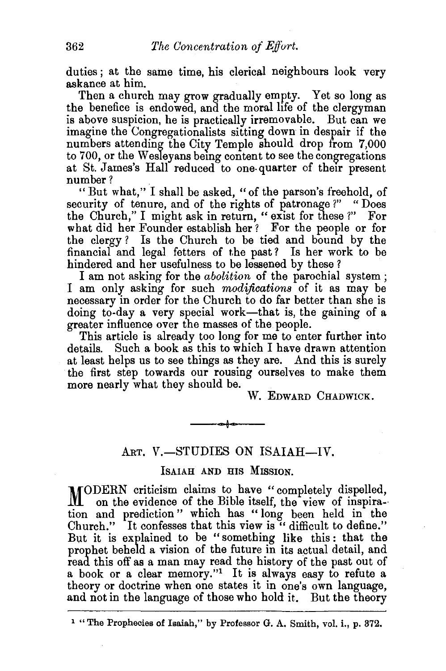duties ; at the same time, his clerical neighbours look very askance at him.

Then a church may grow gradually empty. Yet so long as the benefice is endowed, and the moral life of the clergyman is above suspicion, he is practically irremovable. But can we imagine the Congregationalists sitting down in despair if the numbers attending the City Temple should drop from 7,000 to 700, or the Wesleyans being content to see the congregations at St. James's Hall reduced to one- quarter of their present number?

"But what," I shall be asked, "of the parson's freehold, of security of tenure, and of the rights of patronage?" " Does the Church," I might ask in return, " exist for these ?" For what did her Founder establish her ? For the people or for the clergy ? Is the Church to be tied and bound by the financial and legal fetters of the past? Is her work to be hindered and her usefulness to be lessened by these ?

I am not asking for the *abolition* of the parochial system ; I am only asking for such *modifications* of it as may be necessary in order for the Church to do far better than she is doing to-day a very special work-that is, the gaining of a greater influence over the masses of the people.

This article is already too long for me to enter further into details. Such a book as this to which I have drawn attention at least helps us to see things as they are. And this is surely the first step towards our rousing ourselves to make them more nearly what they should be.

W. EDWARD CHADWICK.

## ART. V.-STUDIES ON ISAIAH-IV.

## IsAIAH AND HIS MISSION.

MODERN criticism claims to have " completely dispelled, on the evidence of the Bible itself, the view of inspiration and prediction" which has "long been held in the Church." It confesses that this view is " difficult to define." But it is explained to be "something like this: that the prophet beheld a vision of the future in its actual detail, and read this off as a man may read the history of the past out of a book or a clear memory."1 It is always easy to refute a theory or doctrine when one states it in one's own language, and not in the language of those who hold it. But the theory

<sup>1 &</sup>quot;The Prophecies of Isaiah," by Professor G. A. Smith, vol. i., p. 372.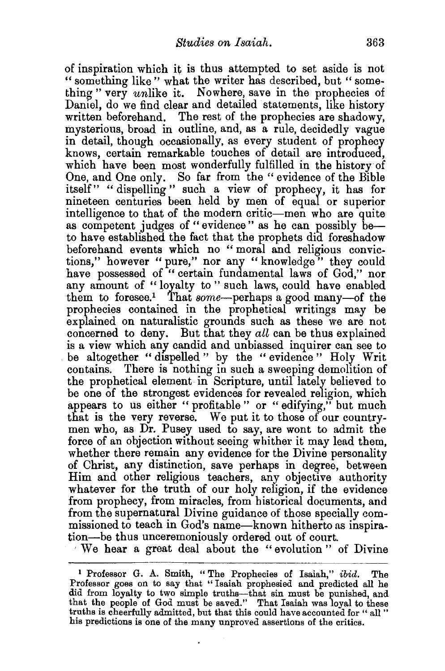of inspiration which it is thus attempted to set aside is not " something like " what the writer has described, but " something" very unlike it. Nowhere, save in the prophecies of Daniel, do we find clear and detailed statements, like history written beforehand. The rest of the prophecies are shadowy, mysterious, broad in outline, and, as a rule, decidedly vague in detail, though occasionally, as every student of prophecy knows, certain remarkable touches of detail are introduced, which have been most wonderfully fulfilled in the history of One, and One only. So far from the "evidence of the Bible itself" "dispelling" such a view of prophecy, it has for nineteen centuries been held by men of equal or superior intelligence to that of the modern critic-men who are quite as competent judges of "evidence" as he can possibly beto have established the fact that the prophets did foreshadow beforehand events which no " moral and religious convictions," however "pure," nor any "knowledge" they could have possessed of "certain fundamental laws of God," nor any amount of "loyalty to" such laws, could have enabled them to foresee.<sup>1</sup> That some-perhaps a good many-of the prophecies contained in the prophetical writings may be explained on naturalistic grounds such as these we are not concerned to deny. But that they *all* can be thus explained is a view which any candid and unbiassed inquirer can see to be altogether "dispelled" by the "evidence" Holy Writ contains. There is nothing in such a sweeping demolition of the prophetical element in Scripture, until lately believed to be one of the strongest evidences for revealed religion, which appears to us either " profitable " or " edifying," but much that is the very reverse. We put it to those of our countrymen who, as Dr. Pusey used to say, are wont to admit the force of an objection without seeing whither it may lead them, whether there remain any evidence for the Divine personality of Christ, any distinction, save perhaps in degree, between Him and other religious teachers, any objective authority whatever for the truth of our holy religion, if the evidence from prophecy, from miracles, from historical documents, and from the supernatural Divine guidance of those specially commissioned to teach in God's name-known hitherto as inspiration-be thus unceremoniously ordered out of court.

' We hear a great deal about the "evolution " of Divine

.

<sup>1</sup>Professor G. A. Smith, "The Prophecies of Isaiah," *ibid.* The Professor goes on to say that " Isaiah prophesied and predicted all he did from loyalty to two simple truths-that sin must be punished, and that the people of God must be saved." That Isaiah was loyal to these truths is cheerfully admitted, but that this could have accounted for "all" his predictions is one of the many unproved assertions of the critics.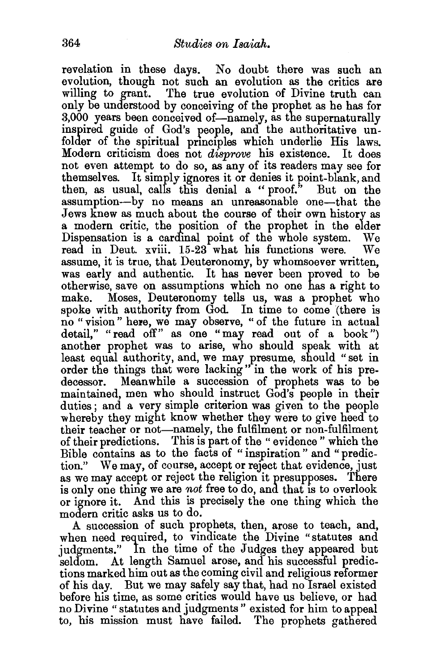revelation in these days. No doubt there was such an evolution, though not such an evolution as the critics are willing to grant. The true evolution of Divine truth can only be understood by conceiving of the prophet as he has for 3,000 years been conceived of-namely, as the supernaturally inspired guide of God's people, and the authoritative unfolder of the spiritual principles which underlie His laws. Modern criticism does not *disprove* his existence. It does not even attempt to do so, as any of its readers may see for themselves. It simply ignores it or denies it point-blank, and then, as usual, calls this denial a " proof." But on the assumption-by no means an unreasonable one-that the Jews knew as much about the course of their own history as a modern critic, the position of the prophet in the elder Dispensation is a cardinal point of the whole system. We read in Deut. xviii. 15-23 what his functions were. We assume, it is true, that Deuteronomy, by whomsoever written, was early and authentic. It has never been proved to be otherwise, save on assumptions which no one has a right to make. Moses, Deuteronomy tells us, was a prophet who spoke with authority from God. In time to come (there is no "vision" here, we may observe, " of the future in actual detail," "read off" as one "may read out of a book") another prophet was to arise, who should speak with at least equal authority, and, we may presume, should "set in order the things that were lacking" in the work of his predecessor. Meanwhile a succession of prophets was to be maintained, men who should instruct God's people in their duties; and a very simple criterion was given to the people whereby they might know whether they were to give heed to their teacher or not-namely, the fulfilment or non-fulfilment of their predictions. This is part of the " evidence " which the Bible contains as to the facts of " inspiration " and " prediction." We may, of course, accept or reject that evidence, just as we may accept or reject the religion it presupposes. There is only one thing we are *not* free to do, and that is to overlook or ignore it. And this is precisely the one thing which the modern critic asks us to do.

A succession of such prophets, then, arose to teach, and, when need required, to vindicate the Divine "statutes and judgments." In the time of the Judges they appeared but seldom. At length Samuel arose, and his successful predictions marked him out as the coming civil and religious reformer of his day. But we may safely say that, had no Israel existed before his time, as some critics would have us believe, or had no Divine "statutes and judgments" existed for him to appeal to, his mission must have failed. The prophets gathered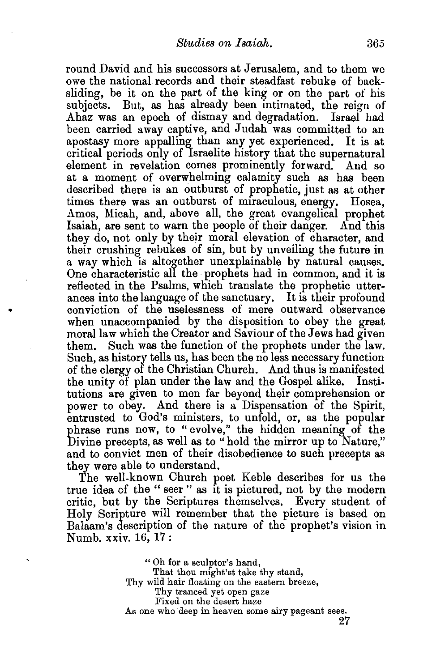round David and his successors at Jerusalem, and to them we owe the national records and their steadfast rebuke of backsliding, be it on the part of the king or on the part of his subjects. But, as has already been intimated, the reign of Ahaz was an epoch of dismay and degradation. Israef had been carried away captive, and Judah was committed to an apostasy more appalling than any yet experienced. It is at critical periods only of 1sraelite history that the supernatural element in revelation comes prominently forward. And so at a moment of overwhelming calamity such as has been described there is an outburst of prophetic, just as at other times there was an outburst of miraculous, energy. Hosea, Amos, Micah, and, above all, the great evangelical prophet Isaiah, are sent to warn the people of their danger. And this they do, not only by their moral elevation of character, and their crushing rebukes of sin, but by unveiling the future in a way which is altogether unexplainable by natural causes. One characteristic all the prophets had in common, and it is reflected in the Psalms, which translate the prophetic utterances into the language of the sanctuary. It is their profound conviction of the uselessness of mere outward observance when unaccompanied by the disposition to obey the great moral law which the Creator and Saviour of the Jews had given them. Such was the function of the prophets under the law. Such, as history tells us, has been the no less necessary function of the clergy of the Christian Church. And thus is manifested the unity of plan under the law and the Gospel alike. Institutions are given to men far beyond their comprehension or power to obey. And there is a Dispensation of the Spirit, entrusted to God's ministers, to unfold, or, as the popular phrase runs now, to "evolve," the hidden meaning of the Divine precepts, as well as to "hold the mirror up to Nature," and to convict men of their disobedience to such precepts as they were able to understand.

The well-known Church poet Keble describes for us the true idea of the " seer " as it is pictured, not by the modern critic, but by the Scriptures themselves. Every student of Holy Scripture will remember that the picture is based on Balaam's description of the nature of the prophet's vision in Numb. xxiv. 16, 17 :

> "Oh for a sculptor's hand, That thou might'st take thy stand, Thy wild hair floating on the eastern breeze, Thy tranced yet open gaze Fixed on the desert haze As one who deep in heaven some airy pageant sees.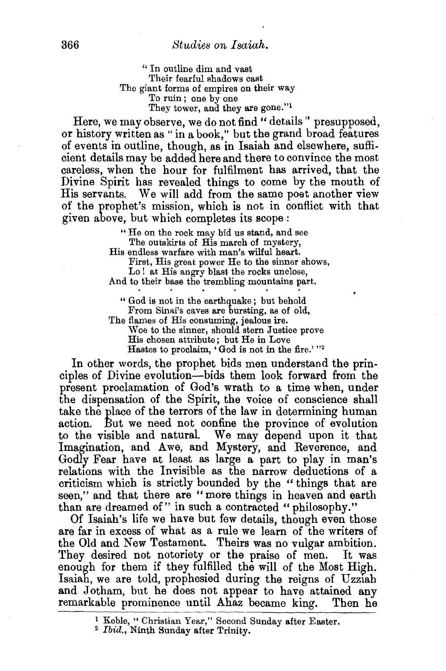'' In outline dim and vast Their fearful shadows cast The giant forms of empires on their way To ruin ; one by one They tower, and they are gone."<sup>1</sup>

Here, we may observe, we do not find " details " presupposed, or history written as "in a book," but the grand broad features of events in outline, though, as in Isaiah and elsewhere, sufficient details may be added here and there to convince the most careless, when the hour for fulfilment has arrived, that the Divine Spirit has revealed things to come by the mouth of His servants. We will add from the same poet another view of the prophet's mission, which is not in conflict with that given above, but which completes its scope:

" He on the rock may bid us stand, and see The outskirts of His march of mystery,

His endless warfare with man's wilful heart. First, His great power He to the sinner shows,

Lo ! at His angry blast the rocks unclose, And to their base the trembling mountains part.

" God is not in the earthquake ; but behold From Sinai's caves are bursting, as of old, The flames of His consuming, jealous ire.

Woe to the sinner, should stern Justice prove His chosen attribute; but He in Love Hastes to proclaim, 'God is not in the fire.' "2

In other words, the prophet bids men understand the principles of Divine evolution-bids them look forward from the present proclamation of God's wrath to a time when, under the dispensation of the Spirit, the voice of conscience shall take the place of the terrors of the law in determining human action. But we need not confine the province of evolution to the visible and natural. We may depend upon it that Imagination, and Awe, and Mystery, and Reverence, and Godly Fear have at least as large a part to play in man's relations with the Invisible as the narrow deductions of a criticism which is strictly bounded by the " things that are seen," and that there are "more things in heaven and earth than are dreamed of" in such a contracted "philosophy."

Of Isaiah's life we have but few details, though even those are far in excess of what as a rule we learn of the writers of the Old and New Testament. Theirs was no vulgar ambition. They desired not notoriety or the praise of men. It was enough for them if they fulfilled the will of the Most High. Isaiah, we are told, prophesied during the reigns of Uzziah and Jotham, but he does not appear to have attained any remarkable prominence until Ahaz became king. Then he

<sup>&</sup>lt;sup>1</sup> Keble, "Christian Year," Second Sunday after Easter.<br><sup>2</sup> *Ibid.*, Ninth Sunday after Trinity.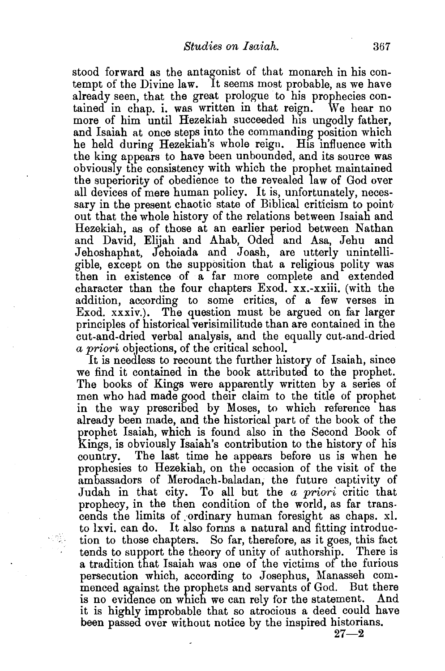stood forward as the antagonist of that monarch in his contempt of the Divine law. It seems most probable, as we have already seen, that the great prologue to his prophecies contained in chap. i. was written in that reign. We hear no more of him until Hezekiah succeeded his ungodly father, and Isaiah at once steps into the commanding position which he held during Hezekiah's whole reign. His influence with the king appears to have been unbounded, and its source was obviously the consistency with which the prophet maintained the superiority of obedience to the revealed law of God over all devices of mere human policy. It is, unfortunately, necessary in the present chaotic state of Biblical criticism to pointout that the whole history of the relations between Isaiah and Hezekiah, as of those at an earlier period between Nathan and David, Elijah and Ahab, Oded and Asa, Jehu and Jehoshaphat, Jehoiada and Joash, are utterly unintelligible, except on the supposition that a religious polity was then in existence of a far more complete and extended character than the four chapters Exod. xx.-xxiii. (with the addition, according to some critics, of a few verses in Exod. xxxiv.). The question must be argued on far larger principles of historical verisimilitude than are contained in the cut-and-dried verbal analysis, and the equally cut-and-dried *a priori* objections, of the critical school.

It is needless to recount the further history of Isaiah, since we find it contained in the book attributed to the prophet. The books of Kings were apparently written by a series of men who had made good their claim to the title of prophet in the way prescribed by Moses, to which reference has already been made, and the historical part of the book of the prophet Isaiah, which is found also in the Second Book of Kings, is obviously Isaiah's contribution to the history of his country. The last time he appears before us is when he prophesies to Hezekiah, on the occasion of the visit of the ambassadors of Merodach-baladan, the future captivity of Judah in that city. To all but the *a priori* critic that prophecy, in the then condition of the world, as far transcends the limits of ordinary human foresight as chaps. xl. to lxvi. can do. It also forms a natural and fitting introduction to those chapters. So far, therefore, as it goes, this fact tends to support the theory of unity of authorship. There is a tradition that Isaiah was one of the victims of the furious persecution which, according to Josephus, Manasseh commenced against the prophets and servants of God. But there is no evidence on which we can rely for the statement. And it is highly improbable that so atrocious a deed could have been passed over without notice by the inspired historians.

 $27 - 2$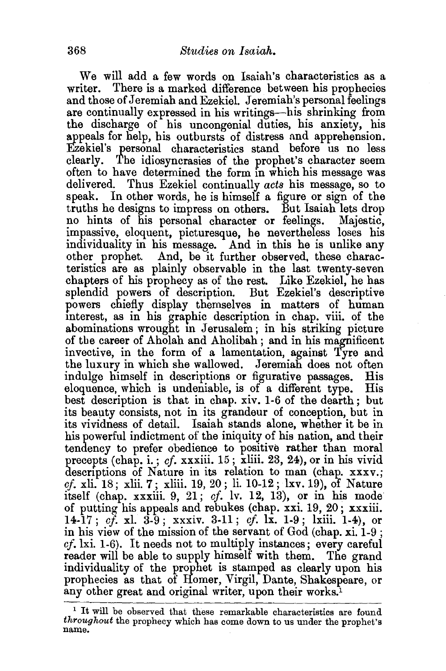We will add a few words on Isaiah's characteristics as a writer. There is a marked difference between his prophecies and those of Jeremiah and Ezekiel. Jeremiah's personal feelings are continually expressed in his writings-his shrinking from the discharge of his uncongenial duties, his anxiety, his appeals for help, his outbursts of distress and apprehension. Ezekiel's personal characteristics stand before us no less clearly. The idiosyncrasies of the prophet's character seem often to have determined the form in which his message was delivered. Thus Ezekiel continually *acts* his message, so to speak. In other words, be is himself a figure or sign of the truths he designs to impress on others. But Isaiah lets drop no hints of his personal character or feelings. Majestic, impassive, eloquent, picturesque, he nevertheless loses his individuality in his message. And in this be is unlike any other prophet. And, be it further observed, these characteristics are as plainly observable in the last twenty-seven chapters of his prophecy as of the rest. Like Ezekiel, he has splendid powers of description. But Ezekiel's descriptive powers chiefly display themselves in matters of human mterest, as in his graphic description in chap. viii. of the abominations wrought in Jerusalem; in his striking picture of tbe career of Aholah and Aholibah ; and in his magnificent invective, in the form of a lamentation, against Tyre and the luxury in which she wallowed. Jeremiah does not often indulge himself in descriptions or figurative passages. His eloquence, which is undeniable, is of a different type. His best description is that in chap. xiv. 1-6 of the dearth; but its beauty consists, not in its grandeur of conception, but in its vividness of detail. Isaiah stands alone, whether it be in his powerful indictment of the iniquity of his nation, and their tendency to prefer obedience to positive rather than moral precepts (chap. i. ; *cf.* xxxiii. 15 ; xliii. 23, 24), or in his vivid descriptions of Nature in its relation to man (chap. xxxv.; *cj.* xli. 18; xlii. 7; xliii. 19, 20; li. 10-12; lxv. 19), of Nature itself (chap. xxxiii. 9, 21; *cf.* lv. 12, 13), or in his mode of putting his appeals and rebukes (chap. xxi. 19, 20; xxxiii. 14-17; *cf.* xl. 3-9; xxxiv. 3-11; *cf.* lx. 1-9; lxiii. 1-4), or in his view of the mission of the servant of God (chap. xi. 1-9 ;  $cf.$  ki. 1-6). It needs not to multiply instances; every careful reader will be able to supply himself with them. The grand individuality of the prophet is stamped as clearly upon his prophecies as that of Homer, Virgil, Dante, Shakespeare, or any other great and original writer, upon their works.<sup>1</sup>

<sup>&</sup>lt;sup>1</sup> It will be observed that these remarkable characteristics are found *throughout* the prophecy which has come down to us under the prophet's name.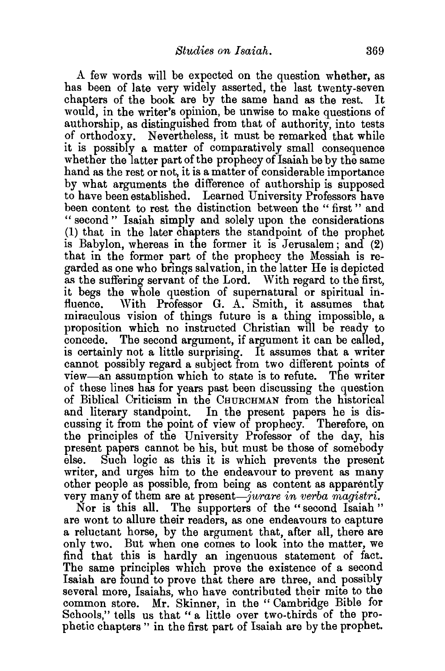A few words will be expected on the question whether, as has been of late very widely asserted, the last twenty-seven chapters of the book are by the same hand as the rest. It would, in the writer's opinion, be unwise to make questions of authorship, as distinguished from that of authority, into tests of orthodoxy. Nevertheless, it must be remarked that while it is possibly a matter of comparatively small consequence whether the latter part of the prophecy of Isaiah be by the same hand as the rest or not, it is a matter of considerable importance by what arguments the difference of authorship is supposed to have been established. Learned University Professors have been content to rest the distinction between the " first " and " second " Isaiah simply and solely upon the considerations (1) that in the later chapters the standpoint of the prophet is Babylon, whereas in the former it is Jerusalem; and (2) that in the former part of the prophecy the Messiah is regarded as one who brings salvation, in the latter He is depicted as the suffering servant of the Lord. With regard to the first, it begs the whole question of supernatural or spiritual influence. With Professor G. A. Smith, it assumes that miraculous vision of things future is a thing impossible, a proposition which no instructed Christian will be ready to concede. The second argument, if argument it can be called, is certainly not a little surprising. It assumes that a writer cannot possibly regard a subject from two different points of view-an assumption which to state is to refute. The writer of these lines has for years past been discussing the question of Biblical Criticism in the CHURCHMAN from the historical and literary standpoint. In the present papers he is discussing it from the point of view of prophecy. Therefore, on the principles of the University Professor of the day, his present papers cannot be his, but must be those of somebody else. Such logic as this it is which prevents the present writer, and urges him to the endeavour to prevent as many other people as possible, from being as content as apparently very many of them are at present-jurare in verba magistri.

Nor is this all. The supporters of the "second Isaiah " are wont to allure their readers, as one endeavours to capture a reluctant horse, by the argument that, after all, there are only two. But when one comes to look into the matter, we find that this is hardly an ingenuous statement of fact. The same principles which prove the existence of a second Isaiah are found to prove that there are three, and possibly several more, Isaiahs, who have contributed their mite to the common store. Mr. Skinner, in the "Cambridge Bible for Schools," tells us that " a little over two-thirds of the prophetic chapters " in the first part of Isaiah are by the prophet.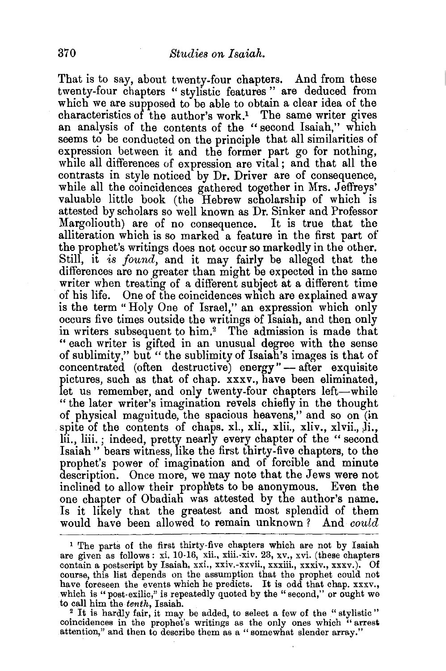That is to say, about twenty-four chapters. And from these twenty-four chapters " stylistic features " are deduced from which we are supposed to be able to obtain a clear idea of the characteristics of the author's work.1 The same writer gives an analysis of the contents of the "second Isaiah," which seems to be conducted on the principle that all similarities of expression between it and the former part go for nothing, while all differences of expression are vital; and that all the contrasts in style noticed by Dr. Driver are of consequence, while all the coincidences gathered together in Mrs. Jeffreys' valuable little book (the Hebrew scholarship of which is attested by scholars so well known as Dr. Sinker and Professor Margoliouth) are of no consequence. It is true that the alliteration which is so marked a feature in the first part of the prophet's writings does not occur so markedly in the other. Still, it is *found,* and it may fairly be alleged that the differences are no greater than might be expected in the same writer when treating of a different subject at a different time of his life. One of the coincidences which are explained away is the term "Holy One of Israel," an expression which only occurs five times outside the writings of Isaiah, and then only in writers subsequent to him.2 The admission is made that " each writer is gifted in an unusual degree with the sense of sublimity," but " the sublimity of Isaiah's images is that of concentrated (often destructive) energy"-after exquisite pictures, such as that of chap. xxxv., have been eliminated, let us remember, and only twenty-four chapters left-while " the later writer's imagination revels chiefly in the thought of physical magnitude, the spacious heavens," and so on (in spite of the contents of chaps. xl., xli., xlii., xliv., xlvii., li., lii., liii. ; indeed, pretty nearly every chapter of the " second Isaiah" bears witness, like the first thirty-five chapters, to the prophet's power of imagination and of forcible and minute description. Once more, we may note that the Jews were not inclined to allow their prophets to be anonymous. Even the one chapter of Obadiah was attested by the author's name. Is it likely that the greatest and most splendid of them would have been allowed to remain unknown? And *could* 

which is "post-exilic," is repeatedly quoted by the "second," or ought we<br>to call him the *tenth*, Isaiah.<br><sup>2</sup> It is hardly fair, it may be added, to select a few of the "stylistic"<br>coincidences in the prophet's writings attention," and then to describe them as a "somewhat slender array."

<sup>1</sup> The parts of the first thirty-five chapters which are not by Isaiah are given as follows : xi. 10-16, xii., xiii.-xiv. 23, xv., xvi. (these chapters contain a postscript by Isaiah, xxi., xxiv.-xxvii., xxxiii., xxxiv., xxxv.). Of course, this list depends on the assumption that the prophet could not have foreseen the events which he predicts. It is odd that chap. xxxv., which is "post-exilic," is repeatedly quoted by the "second," or ought we